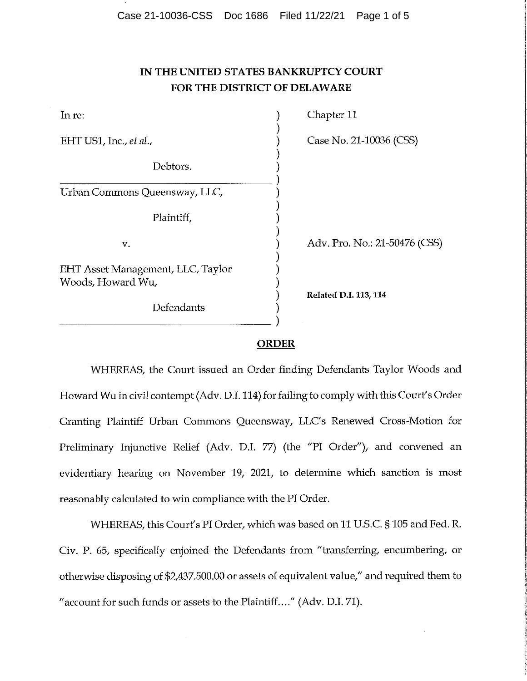# **IN THE UNITED STATES BANKRUPTCY COURT FOR THE DISTRICT OF DELAWARE**

| In re:                                                 | Chapter 11                    |
|--------------------------------------------------------|-------------------------------|
| EHT US1, Inc., et al.,                                 | Case No. 21-10036 (CSS)       |
| Debtors.                                               |                               |
| Urban Commons Queensway, LLC,                          |                               |
| Plaintiff,                                             |                               |
| v.                                                     | Adv. Pro. No.: 21-50476 (CSS) |
| EHT Asset Management, LLC, Taylor<br>Woods, Howard Wu, |                               |
| Defendants                                             | Related D.I. 113, 114         |

## **ORDER**

WHEREAS, the Court issued an Order finding Defendants Taylor Woods and Howard Wu in civil contempt (Adv. D.I. 114) for failing to comply with this Court's Order Granting Plaintiff Urban Commons Queensway, LLC's Renewed Cross-Motion for Preliminary Injunctive Relief (Adv. D.I. 77) (the "PI Order"), and convened an evidentiary hearing on November 19, 2021, to determine which sanction is most reasonably calculated to win compliance with the PI Order.

WHEREAS, this Court's PI Order, which was based on 11 U.S.C. §105 and Fed. R. Civ. P. 65, specifically enjoined the Defendants from "transferring, encumbering, or otherwise disposing of \$2,437,500.00 or assets of equivalent value," and required them to " account for such funds or assets to the Plaintiff...." (Adv. D.I. 71).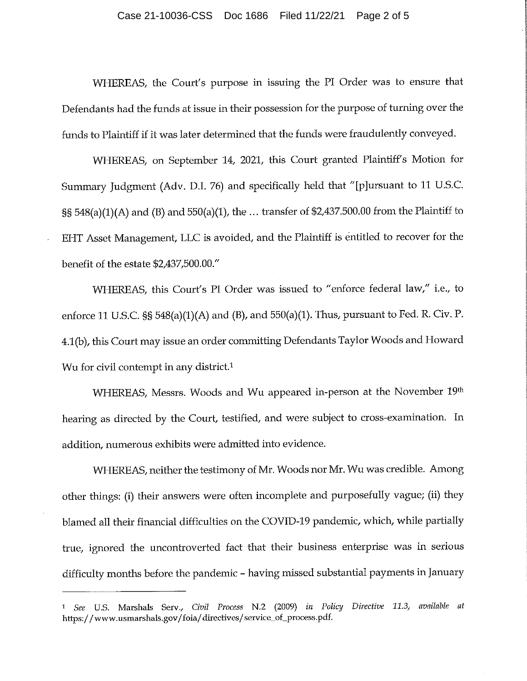#### Case 21-10036-CSS Doc 1686 Filed 11/22/21 Page 2 of 5

WHEREAS, the Court'<sup>s</sup> purpose in issuing the PI Order was to ensure that Defendants had the funds at issue in their possession for the purpose of turning over the funds to Plaintiff if it was later determined that the funds were fraudulently conveyed.

WHEREAS, on September 14, 2021, this Court granted Plaintiff's Motion for Summary Judgment (Adv. <sup>D</sup>.I. <sup>76</sup>) and specifically held that "[p]ursuant to <sup>11</sup> U.S.C. §§ 548(a)(1)(A) and (B) and <sup>550</sup>(a)(1), the ... transfer of \$2,437,500.00 from the Plaintiff to EHT Asset Management, LLC is avoided, and the Plaintiff is entitled to recover for the benefit of the estate \$2,437,500.00."

WHEREAS, this Court's PI Order was issued to "enforce federal law," i.e., to enforce <sup>11</sup> U.S.C. §§ 548(a)(1)(A) and (B), and <sup>550</sup>(a)(1). Thus, pursuan<sup>t</sup> to Fed. <sup>R</sup>. Civ. <sup>P</sup>. 4.1(b), thisCourt may issue an order committing Defendants Taylor Woods and Howard Wu for civil contempt in any district.<sup>1</sup>

WHEREAS, Messrs. Woods and Wu appeared in-person at the November 19th hearing as directed by the Court, testified, and were subject to cross-examination. In addition, numerous exhibits were admitted into evidence.

WHEREAS, neither the testimony of Mr. Woods nor Mr. Wu was credible. Among other things: (i) their answers were often incomplete and purposefully vague; (ii) they blamed all their financial difficulties on the COVID-19 pandemic, which, while partially true, ignored the uncontroverted fact that their business enterprise was in serious difficulty months before the pandemic - having missed substantial payments in January

<sup>1</sup> *See* <sup>U</sup>.S. Marshals Serv., *Civil Process* N.2 (2009) *in Policy Directive 11.3, available at* https: //www.usmarshals.gov/foia/directives/service\_of\_process.pdf.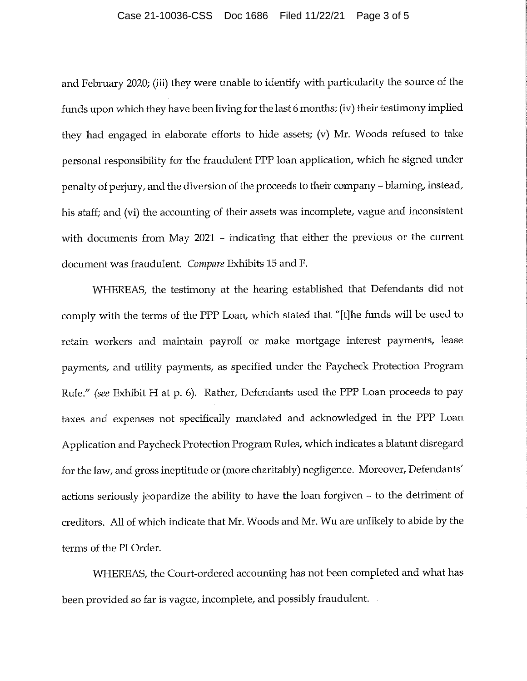### Case 21-10036-CSS Doc 1686 Filed 11/22/21 Page 3 of 5

and February <sup>2020</sup>; (iii) they were unable to identify with particularity the source of the funds upon which they have been living for the last <sup>6</sup> months;(iv) their testimony implied they had engage<sup>d</sup> in elaborate efforts to hide assets; (v) Mr. Woods refused to take personal responsibility for the fraudulent PPP loan application, which he signed under penalty of perjury, and the diversion of the proceeds to their company - blaming, instead, his staff; and (vi) the accounting of their assets was incomplete, vague and inconsistent with documents from May 2021 - indicating that either the previous or the current document was fraudulent. *Compare* Exhibits15 and <sup>F</sup>.

WHEREAS, the testimony at the hearing established that Defendants did not comply with the terms of the PPP Loan, which stated that "[t]he funds will be used to retain workers and maintain payroll or make mortgage interest payments, lease payments, and utility payments, as specified under the Paycheck Protection Program Rule." *(see* Exhibit <sup>H</sup> at <sup>p</sup>. <sup>6</sup>). Rather, Defendants used the PPP Loan proceeds to pay taxes and expenses not specifically mandated and acknowledged in the PPP Loan Application and Paycheck Protection Program Rules, which indicates <sup>a</sup> blatant disregard for the law, and gross ineptitude or (more charitably) negligence. Moreover, Defendants' actions seriously jeopardize the ability to have the loan forgiven - to the detriment of creditors. All of which indicate that Mr. Woods and Mr. Wu are unlikely to abide by the terms of the PI Order.

WHEREAS, the Court-ordered accounting has not been completed and what has been provided so far is vague, incomplete, and possibly fraudulent.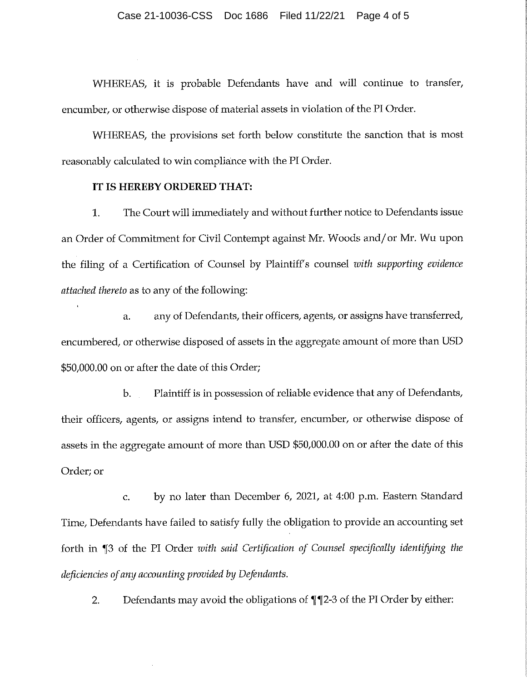WHEREAS, it is probable Defendants have and will continue to transfer, encumber, or otherwise dispose of material assets in violation of the PI Order.

WHEREAS, the provisions set forth below constitute the sanction that is most reasonably calculated to win compliance with the PI Order.

## **IT IS HEREBY ORDERED THAT:**

1. The Court will immediately and without further notice to Defendants issue an Order of Commitment for Civil Contempt against Mr. Woods and/or Mr. Wu upon :the filing of <sup>a</sup> Certification of Counsel by Plaintiffs counsel *zoith supporting evidence attached thereto* as to any of the following:

<sup>a</sup>. any of Defendants, their officers, agents, or assigns have transferred, encumbered, or otherwise disposed of assets in the aggregate amount of more than USD \$50,000.00 on or after the date of this Order;

*i*

b. Plaintiff is in possession of reliable evidence that any of Defendants,  $\qquad \qquad \mid$ their officers, agents, or assigns intend to transfer, encumber, or otherwise dispose of assets in the aggregate amount of more than USD \$50,000.00 on or after the date of this Order; or

<sup>c</sup>. by no later than December 6, <sup>2021</sup>, at <sup>4</sup>:<sup>00</sup> p.m. Eastern Standard Time, Defendants have failed to satisfy fully the obligation to provide an accounting set forth in  $\P$ 3 of the PI Order *with said Certification* of *Counsel specifically identifying the deficiencies of any accounting provided hy Defendants.*

Defendants may avoid the obligations of ^[ ^2**.** [2-3 of the PI Order by either: